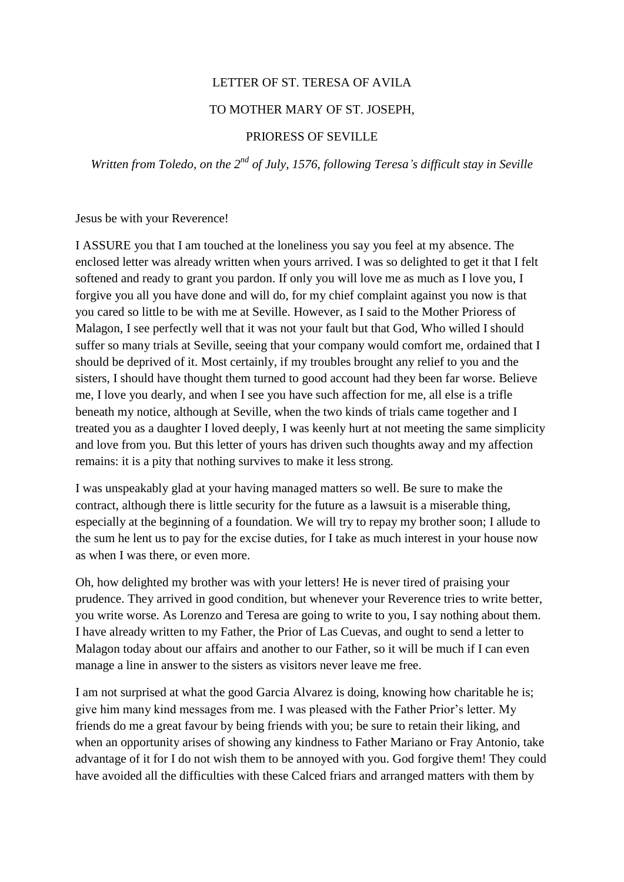## LETTER OF ST. TERESA OF AVILA

#### TO MOTHER MARY OF ST. JOSEPH,

#### PRIORESS OF SEVILLE

*Written from Toledo, on the 2nd of July, 1576, following Teresa's difficult stay in Seville*

Jesus be with your Reverence!

I ASSURE you that I am touched at the loneliness you say you feel at my absence. The enclosed letter was already written when yours arrived. I was so delighted to get it that I felt softened and ready to grant you pardon. If only you will love me as much as I love you, I forgive you all you have done and will do, for my chief complaint against you now is that you cared so little to be with me at Seville. However, as I said to the Mother Prioress of Malagon, I see perfectly well that it was not your fault but that God, Who willed I should suffer so many trials at Seville, seeing that your company would comfort me, ordained that I should be deprived of it. Most certainly, if my troubles brought any relief to you and the sisters, I should have thought them turned to good account had they been far worse. Believe me, I love you dearly, and when I see you have such affection for me, all else is a trifle beneath my notice, although at Seville, when the two kinds of trials came together and I treated you as a daughter I loved deeply, I was keenly hurt at not meeting the same simplicity and love from you. But this letter of yours has driven such thoughts away and my affection remains: it is a pity that nothing survives to make it less strong.

I was unspeakably glad at your having managed matters so well. Be sure to make the contract, although there is little security for the future as a lawsuit is a miserable thing, especially at the beginning of a foundation. We will try to repay my brother soon; I allude to the sum he lent us to pay for the excise duties, for I take as much interest in your house now as when I was there, or even more.

Oh, how delighted my brother was with your letters! He is never tired of praising your prudence. They arrived in good condition, but whenever your Reverence tries to write better, you write worse. As Lorenzo and Teresa are going to write to you, I say nothing about them. I have already written to my Father, the Prior of Las Cuevas, and ought to send a letter to Malagon today about our affairs and another to our Father, so it will be much if I can even manage a line in answer to the sisters as visitors never leave me free.

I am not surprised at what the good Garcia Alvarez is doing, knowing how charitable he is; give him many kind messages from me. I was pleased with the Father Prior's letter. My friends do me a great favour by being friends with you; be sure to retain their liking, and when an opportunity arises of showing any kindness to Father Mariano or Fray Antonio, take advantage of it for I do not wish them to be annoyed with you. God forgive them! They could have avoided all the difficulties with these Calced friars and arranged matters with them by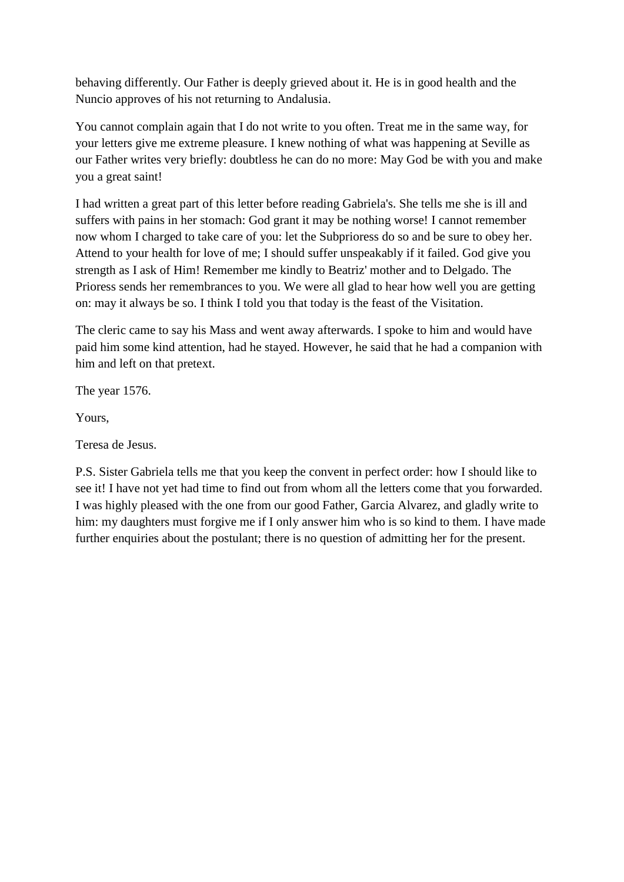behaving differently. Our Father is deeply grieved about it. He is in good health and the Nuncio approves of his not returning to Andalusia.

You cannot complain again that I do not write to you often. Treat me in the same way, for your letters give me extreme pleasure. I knew nothing of what was happening at Seville as our Father writes very briefly: doubtless he can do no more: May God be with you and make you a great saint!

I had written a great part of this letter before reading Gabriela's. She tells me she is ill and suffers with pains in her stomach: God grant it may be nothing worse! I cannot remember now whom I charged to take care of you: let the Subprioress do so and be sure to obey her. Attend to your health for love of me; I should suffer unspeakably if it failed. God give you strength as I ask of Him! Remember me kindly to Beatriz' mother and to Delgado. The Prioress sends her remembrances to you. We were all glad to hear how well you are getting on: may it always be so. I think I told you that today is the feast of the Visitation.

The cleric came to say his Mass and went away afterwards. I spoke to him and would have paid him some kind attention, had he stayed. However, he said that he had a companion with him and left on that pretext.

The year 1576.

Yours,

Teresa de Jesus.

P.S. Sister Gabriela tells me that you keep the convent in perfect order: how I should like to see it! I have not yet had time to find out from whom all the letters come that you forwarded. I was highly pleased with the one from our good Father, Garcia Alvarez, and gladly write to him: my daughters must forgive me if I only answer him who is so kind to them. I have made further enquiries about the postulant; there is no question of admitting her for the present.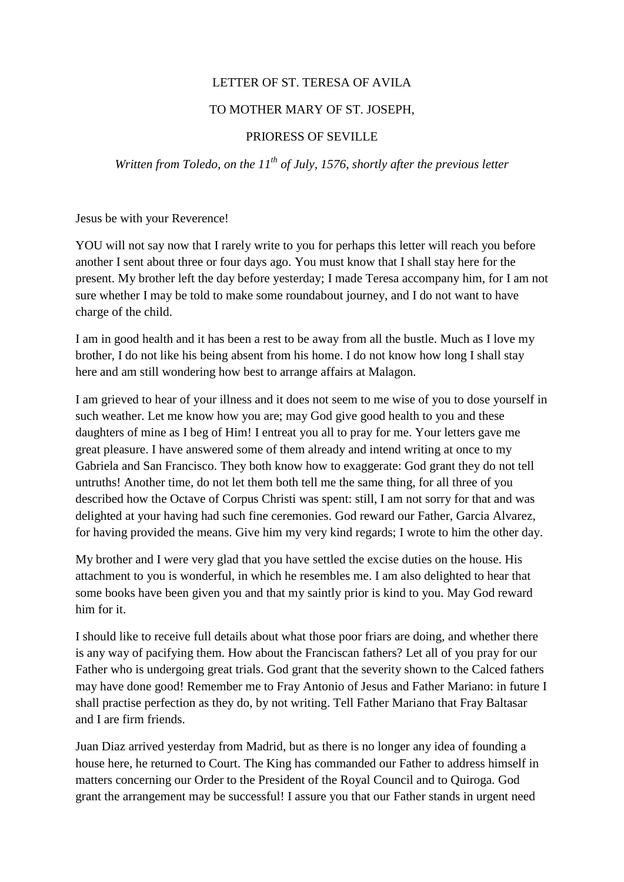## LETTER OF ST. TERESA OF AVILA

### TO MOTHER MARY OF ST. JOSEPH,

#### PRIORESS OF SEVILLE

*Written from Toledo, on the 11th of July, 1576, shortly after the previous letter*

Jesus be with your Reverence!

YOU will not say now that I rarely write to you for perhaps this letter will reach you before another I sent about three or four days ago. You must know that I shall stay here for the present. My brother left the day before yesterday; I made Teresa accompany him, for I am not sure whether I may be told to make some roundabout journey, and I do not want to have charge of the child.

I am in good health and it has been a rest to be away from all the bustle. Much as I love my brother, I do not like his being absent from his home. I do not know how long I shall stay here and am still wondering how best to arrange affairs at Malagon.

I am grieved to hear of your illness and it does not seem to me wise of you to dose yourself in such weather. Let me know how you are; may God give good health to you and these daughters of mine as I beg of Him! I entreat you all to pray for me. Your letters gave me great pleasure. I have answered some of them already and intend writing at once to my Gabriela and San Francisco. They both know how to exaggerate: God grant they do not tell untruths! Another time, do not let them both tell me the same thing, for all three of you described how the Octave of Corpus Christi was spent: still, I am not sorry for that and was delighted at your having had such fine ceremonies. God reward our Father, Garcia Alvarez, for having provided the means. Give him my very kind regards; I wrote to him the other day.

My brother and I were very glad that you have settled the excise duties on the house. His attachment to you is wonderful, in which he resembles me. I am also delighted to hear that some books have been given you and that my saintly prior is kind to you. May God reward him for it.

I should like to receive full details about what those poor friars are doing, and whether there is any way of pacifying them. How about the Franciscan fathers? Let all of you pray for our Father who is undergoing great trials. God grant that the severity shown to the Calced fathers may have done good! Remember me to Fray Antonio of Jesus and Father Mariano: in future I shall practise perfection as they do, by not writing. Tell Father Mariano that Fray Baltasar and I are firm friends.

Juan Diaz arrived yesterday from Madrid, but as there is no longer any idea of founding a house here, he returned to Court. The King has commanded our Father to address himself in matters concerning our Order to the President of the Royal Council and to Quiroga. God grant the arrangement may be successful! I assure you that our Father stands in urgent need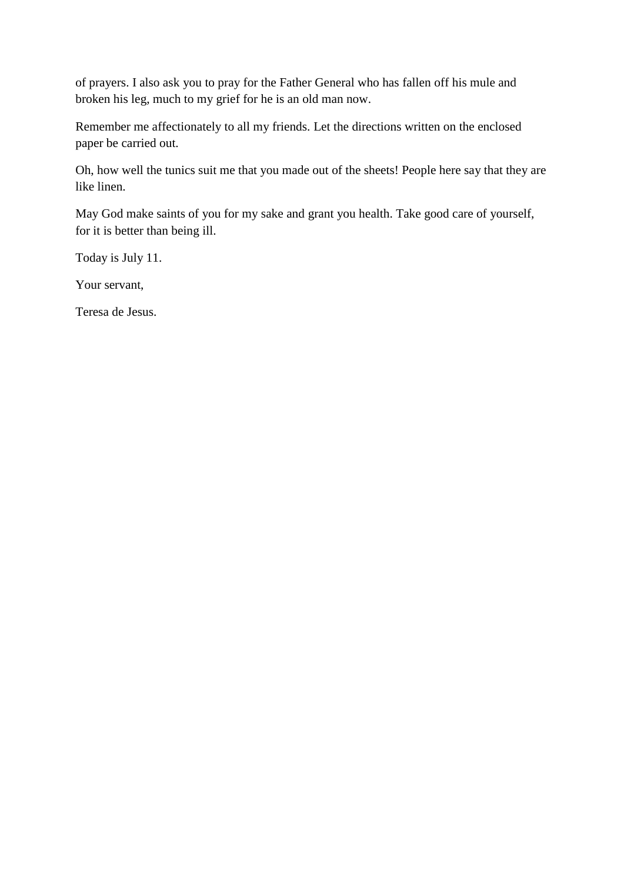of prayers. I also ask you to pray for the Father General who has fallen off his mule and broken his leg, much to my grief for he is an old man now.

Remember me affectionately to all my friends. Let the directions written on the enclosed paper be carried out.

Oh, how well the tunics suit me that you made out of the sheets! People here say that they are like linen.

May God make saints of you for my sake and grant you health. Take good care of yourself, for it is better than being ill.

Today is July 11.

Your servant,

Teresa de Jesus.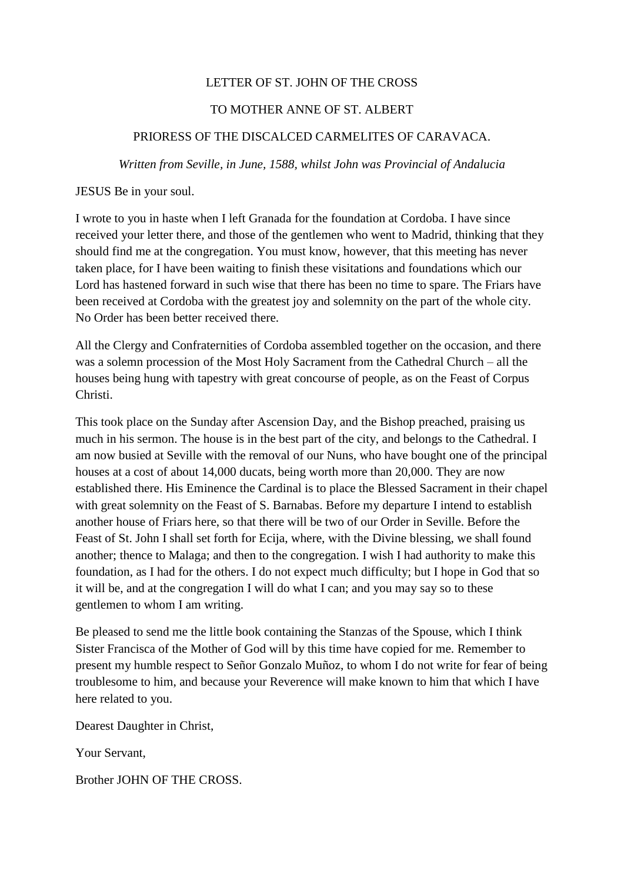## LETTER OF ST. JOHN OF THE CROSS

## TO MOTHER ANNE OF ST. ALBERT

## PRIORESS OF THE DISCALCED CARMELITES OF CARAVACA.

*Written from Seville, in June, 1588, whilst John was Provincial of Andalucia*

JESUS Be in your soul.

I wrote to you in haste when I left Granada for the foundation at Cordoba. I have since received your letter there, and those of the gentlemen who went to Madrid, thinking that they should find me at the congregation. You must know, however, that this meeting has never taken place, for I have been waiting to finish these visitations and foundations which our Lord has hastened forward in such wise that there has been no time to spare. The Friars have been received at Cordoba with the greatest joy and solemnity on the part of the whole city. No Order has been better received there.

All the Clergy and Confraternities of Cordoba assembled together on the occasion, and there was a solemn procession of the Most Holy Sacrament from the Cathedral Church – all the houses being hung with tapestry with great concourse of people, as on the Feast of Corpus Christi.

This took place on the Sunday after Ascension Day, and the Bishop preached, praising us much in his sermon. The house is in the best part of the city, and belongs to the Cathedral. I am now busied at Seville with the removal of our Nuns, who have bought one of the principal houses at a cost of about 14,000 ducats, being worth more than 20,000. They are now established there. His Eminence the Cardinal is to place the Blessed Sacrament in their chapel with great solemnity on the Feast of S. Barnabas. Before my departure I intend to establish another house of Friars here, so that there will be two of our Order in Seville. Before the Feast of St. John I shall set forth for Ecija, where, with the Divine blessing, we shall found another; thence to Malaga; and then to the congregation. I wish I had authority to make this foundation, as I had for the others. I do not expect much difficulty; but I hope in God that so it will be, and at the congregation I will do what I can; and you may say so to these gentlemen to whom I am writing.

Be pleased to send me the little book containing the Stanzas of the Spouse, which I think Sister Francisca of the Mother of God will by this time have copied for me. Remember to present my humble respect to Señor Gonzalo Muñoz, to whom I do not write for fear of being troublesome to him, and because your Reverence will make known to him that which I have here related to you.

Dearest Daughter in Christ,

Your Servant,

Brother JOHN OF THE CROSS.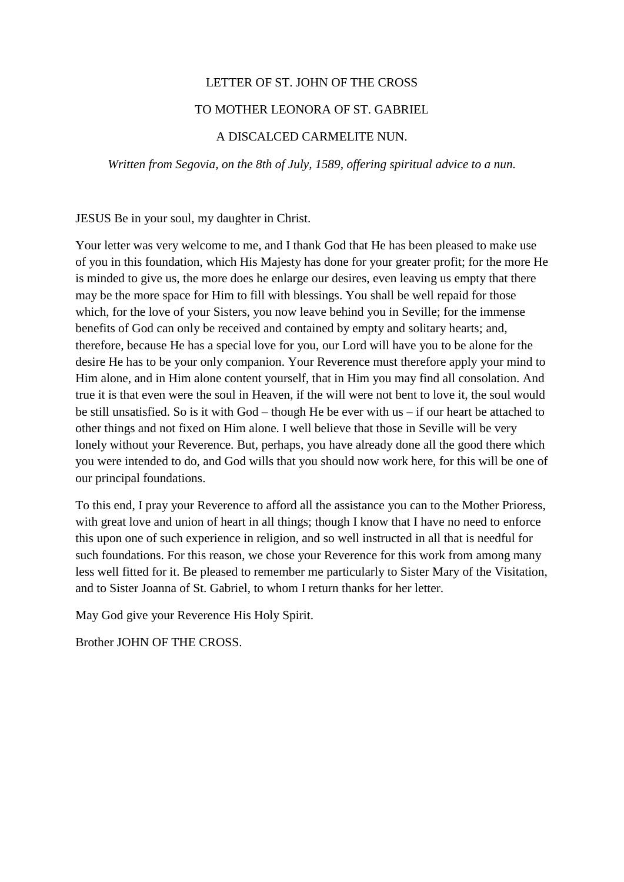## LETTER OF ST. JOHN OF THE CROSS

#### TO MOTHER LEONORA OF ST. GABRIEL

## A DISCALCED CARMELITE NUN.

*Written from Segovia, on the 8th of July, 1589, offering spiritual advice to a nun.*

JESUS Be in your soul, my daughter in Christ.

Your letter was very welcome to me, and I thank God that He has been pleased to make use of you in this foundation, which His Majesty has done for your greater profit; for the more He is minded to give us, the more does he enlarge our desires, even leaving us empty that there may be the more space for Him to fill with blessings. You shall be well repaid for those which, for the love of your Sisters, you now leave behind you in Seville; for the immense benefits of God can only be received and contained by empty and solitary hearts; and, therefore, because He has a special love for you, our Lord will have you to be alone for the desire He has to be your only companion. Your Reverence must therefore apply your mind to Him alone, and in Him alone content yourself, that in Him you may find all consolation. And true it is that even were the soul in Heaven, if the will were not bent to love it, the soul would be still unsatisfied. So is it with God – though He be ever with us – if our heart be attached to other things and not fixed on Him alone. I well believe that those in Seville will be very lonely without your Reverence. But, perhaps, you have already done all the good there which you were intended to do, and God wills that you should now work here, for this will be one of our principal foundations.

To this end, I pray your Reverence to afford all the assistance you can to the Mother Prioress, with great love and union of heart in all things; though I know that I have no need to enforce this upon one of such experience in religion, and so well instructed in all that is needful for such foundations. For this reason, we chose your Reverence for this work from among many less well fitted for it. Be pleased to remember me particularly to Sister Mary of the Visitation, and to Sister Joanna of St. Gabriel, to whom I return thanks for her letter.

May God give your Reverence His Holy Spirit.

Brother JOHN OF THE CROSS.